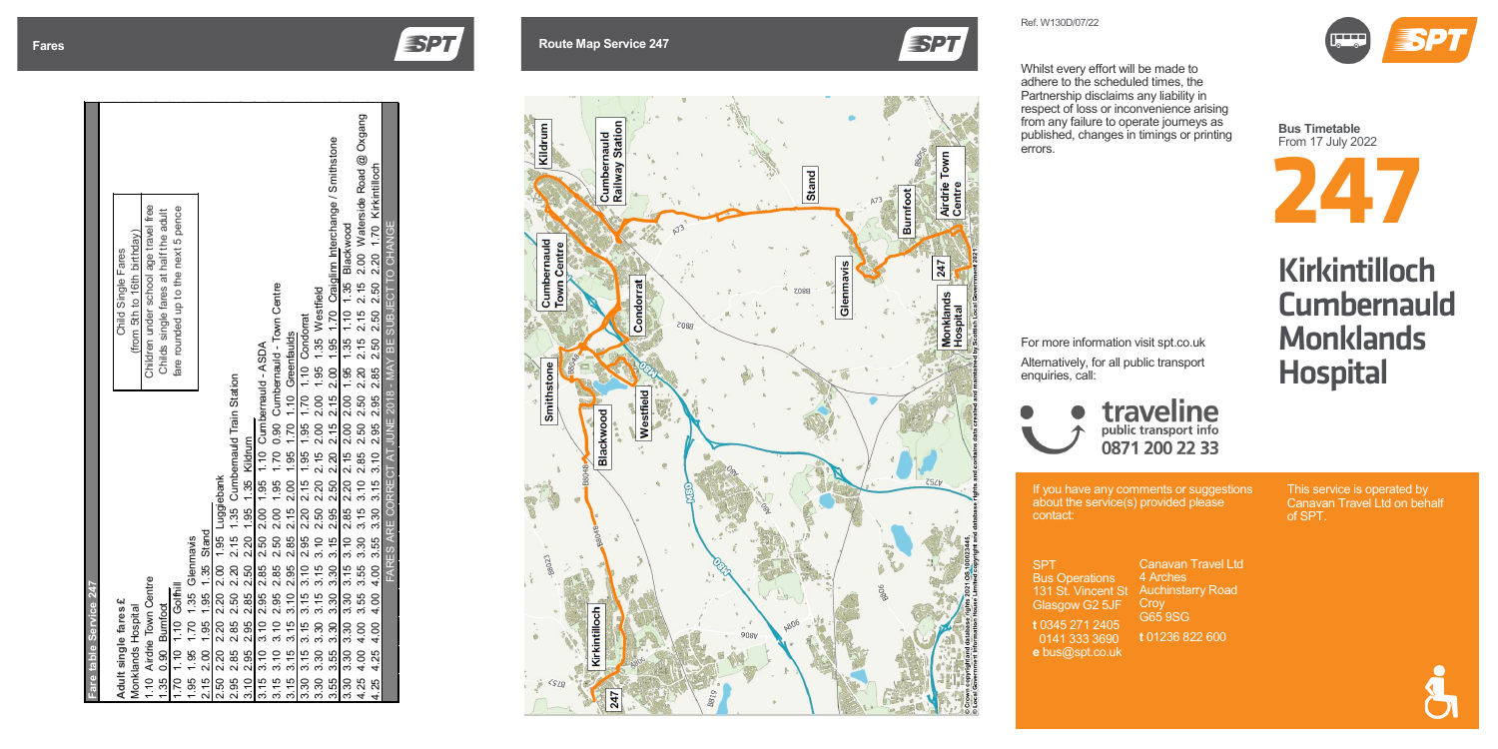If you have any comments or suggestions

**SPT Bus Operations** 131 St. Vincent St Glasgow G2 5JF

about the service(s) provided please contact:

**t** 0345 271 2405 0141 333 3690 **e** bus@spt.co.uk

## **Fares Route Map Service 247**



Canavan Travel Ltd 4 Arches **Auchinstarry Road** Croy G65 9SG

**t** 01236 822 600



This service is operated by Canavan Travel Ltd on behalf of SPT.



**Bus Timetable** From 1 7 July 2022

**ESPT** 

Whilst every effort will be made to adhere to the scheduled times, the Partnership disclaims any liability in respect of loss or inconvenience arising from any failure to operate journeys as published, changes in timings or printing errors.

For more information visit spt.co.uk Alternatively, for all public transport enquiries, call:

À

# Kirkintilloch **Cumbernauld Monklands Hospital**



| Fare table Service 247                                                                                  |                                                                           |
|---------------------------------------------------------------------------------------------------------|---------------------------------------------------------------------------|
| Adult single fares £                                                                                    | Child Single Fares                                                        |
| Monklands Hospital                                                                                      | (from 5th to 16th birthday)                                               |
| 1.10 Airdrie Town Centre                                                                                | Children under school age travel free                                     |
| 1.35 0.90 Burnfoot                                                                                      | Childs single fares at half the adult                                     |
| 1.70 1.10 1.10 Golfhill                                                                                 | fare rounded up to the next 5 pence                                       |
| 1.95 1.95 1.70 1.35 Glenmavis                                                                           |                                                                           |
| 2.15 2.00 1.95 1.95 1.35 Stand                                                                          |                                                                           |
| 2.50 2.20 2.20 2.20 2.00 1.95 Luggiebank                                                                |                                                                           |
| 2.95 2.85 2.85 2.50 2.20 2.15 1.35 Cumbernauld Train Station                                            |                                                                           |
| 3.10 2.95 2.95 2.85 2.50 2.20 1.95 1.35 Kildrum                                                         |                                                                           |
| 3.15 3.10 3.10 2.95 2.85 2.50 2.00 1.95 1.10 Cumbernauld - ASDA                                         |                                                                           |
| 3.15 3.10 3.10 2.95 2.85 2.50 2.00 1.95 1.70 0.90 Cumbernauld - Town Centre                             |                                                                           |
| 3.15 3.15 3.15 3.10 2.95 2.85 2.15 2.00 1.95 1.70 1.10 Greenfaulds                                      |                                                                           |
| 3.30 3.15 3.15 3.15 3.10 2.95 2.20 2.15 1.95 1.95 1.70 1.10 Condorrat                                   |                                                                           |
| 3.30 3.30 3.30 3.15 3.15 3.10 2.50 2.20 2.15 2.00 2.00 1.95 1.35 Westfield                              |                                                                           |
| 3.55 3.55 3.30 3.30 3.15 2.95 2.50 2.20 2.15 2.00 1.95 1.70 Craiglinn Interchange / Smithstone          |                                                                           |
| 3.30 3.30 3.30 3.15 3.10 2.85 2.20 2.15 2.00 2.00 1.95 1.35 1.10 1.35 Blackwood                         |                                                                           |
| 4.25 4.00 4.00 3.55 3.55 3.30 3.15 3.10 2.85 2.50 2.50 2.20 2.15 2.15 2.15 2.00 Waterside Road @ Oxgang |                                                                           |
| 4.00<br>4.00<br>4.25 4.00<br>4.25                                                                       | 3.55 3.30 3.15 3.10 2.95 2.85 2.85 2.50 2.50 2.50 2.20 1.70 Kirkintilloch |
| FARES ARE CORRECT AT JUNE 2018 - MAY BE SUBJECT TO CHANGE                                               |                                                                           |
|                                                                                                         |                                                                           |